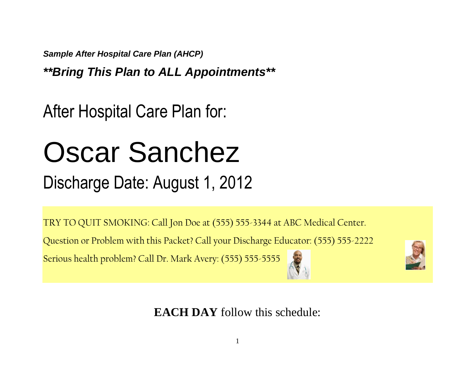*Sample After Hospital Care Plan (AHCP)* 

*\*\*Bring This Plan to ALL Appointments\*\**

After Hospital Care Plan for:

# Oscar Sanchez

### Discharge Date: August 1, 2012

TRY TO QUIT SMOKING: Call Jon Doe at (555) 555-3344 at ABC Medical Center.

Question or Problem with this Packet? Call your Discharge Educator: (555) 555-2222

Serious health problem? Call Dr. Mark Avery: (555) 555-5555





**EACH DAY** follow this schedule: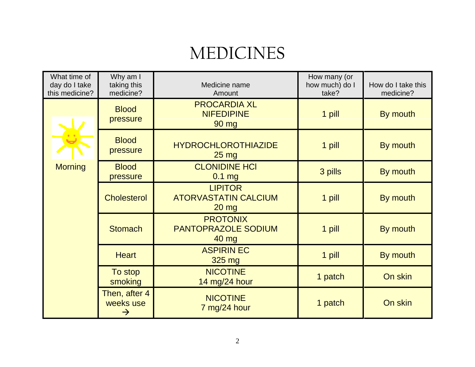### MEDICINES

| What time of<br>day do I take<br>this medicine? | Why am I<br>taking this<br>medicine?        | Medicine name<br>Amount                                       | How many (or<br>how much) do I<br>take? | How do I take this<br>medicine? |
|-------------------------------------------------|---------------------------------------------|---------------------------------------------------------------|-----------------------------------------|---------------------------------|
|                                                 | <b>Blood</b><br>pressure                    | <b>PROCARDIA XL</b><br><b>NIFEDIPINE</b><br>90 mg             | 1 pill                                  | By mouth                        |
|                                                 | <b>Blood</b><br>pressure                    | <b>HYDROCHLOROTHIAZIDE</b><br>$25 \text{ mg}$                 | 1 pill                                  | By mouth                        |
| <b>Morning</b>                                  | <b>Blood</b><br>pressure                    | <b>CLONIDINE HCI</b><br>$0.1$ mg                              | 3 pills                                 | By mouth                        |
|                                                 | <b>Cholesterol</b>                          | <b>LIPITOR</b><br><b>ATORVASTATIN CALCIUM</b><br><b>20 mg</b> | 1 pill                                  | By mouth                        |
|                                                 | <b>Stomach</b>                              | <b>PROTONIX</b><br><b>PANTOPRAZOLE SODIUM</b><br>40 mg        | 1 pill                                  | By mouth                        |
|                                                 | <b>Heart</b>                                | <b>ASPIRIN EC</b><br>325 mg                                   | 1 pill                                  | By mouth                        |
|                                                 | To stop<br>smoking                          | <b>NICOTINE</b><br>14 mg/24 hour                              | 1 patch                                 | On skin                         |
|                                                 | Then, after 4<br>weeks use<br>$\rightarrow$ | <b>NICOTINE</b><br>7 mg/24 hour                               | 1 patch                                 | On skin                         |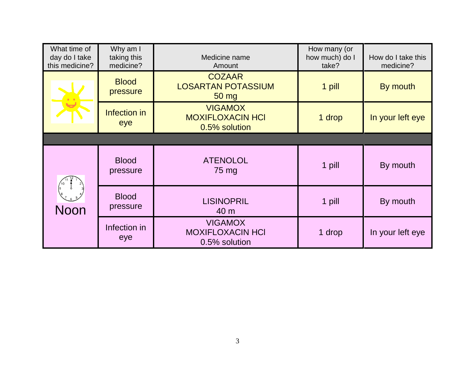| What time of<br>day do I take<br>this medicine? | Why am I<br>taking this<br>medicine? | Medicine name<br>Amount                                    | How many (or<br>how much) do I<br>take? | How do I take this<br>medicine? |
|-------------------------------------------------|--------------------------------------|------------------------------------------------------------|-----------------------------------------|---------------------------------|
|                                                 | <b>Blood</b><br>pressure             | <b>COZAAR</b><br><b>LOSARTAN POTASSIUM</b><br>$50$ mg      | 1 pill                                  | By mouth                        |
|                                                 | Infection in<br>eye                  | <b>VIGAMOX</b><br><b>MOXIFLOXACIN HCI</b><br>0.5% solution | 1 drop                                  | In your left eye                |
|                                                 |                                      |                                                            |                                         |                                 |
| Noon                                            | <b>Blood</b><br>pressure             | <b>ATENOLOL</b><br>75 mg                                   | 1 pill                                  | By mouth                        |
|                                                 | <b>Blood</b><br>pressure             | <b>LISINOPRIL</b><br>40 m                                  | 1 pill                                  | By mouth                        |
|                                                 | Infection in<br>eye                  | <b>VIGAMOX</b><br><b>MOXIFLOXACIN HCI</b><br>0.5% solution | 1 drop                                  | In your left eye                |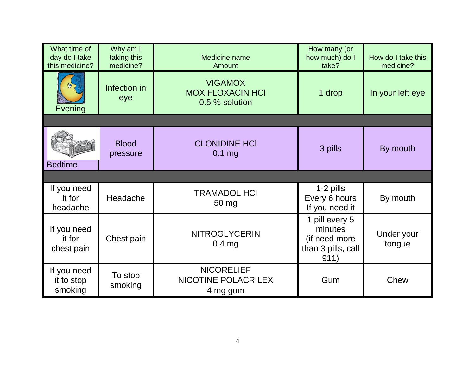| What time of<br>day do I take<br>this medicine? | Why am I<br>taking this<br>medicine? | Medicine name<br>Amount                                     | How many (or<br>how much) do I<br>take?                                  | How do I take this<br>medicine? |
|-------------------------------------------------|--------------------------------------|-------------------------------------------------------------|--------------------------------------------------------------------------|---------------------------------|
| Evening                                         | Infection in<br>eye                  | <b>VIGAMOX</b><br><b>MOXIFLOXACIN HCI</b><br>0.5 % solution | 1 drop                                                                   | In your left eye                |
|                                                 |                                      |                                                             |                                                                          |                                 |
| <b>Bedtime</b>                                  | <b>Blood</b><br>pressure             | <b>CLONIDINE HCI</b><br>3 pills<br>$0.1$ mg                 |                                                                          | By mouth                        |
|                                                 |                                      |                                                             |                                                                          |                                 |
| If you need<br>it for<br>headache               | Headache                             | <b>TRAMADOL HCI</b><br>50 mg                                | 1-2 pills<br>Every 6 hours<br>If you need it                             | By mouth                        |
| If you need<br>it for<br>chest pain             | Chest pain                           | <b>NITROGLYCERIN</b><br>$0.4$ mg                            | 1 pill every 5<br>minutes<br>(if need more<br>than 3 pills, call<br>911) | Under your<br>tongue            |
| If you need<br>it to stop<br>smoking            | To stop<br>smoking                   | <b>NICORELIEF</b><br>NICOTINE POLACRILEX<br>4 mg gum        | Gum                                                                      | Chew                            |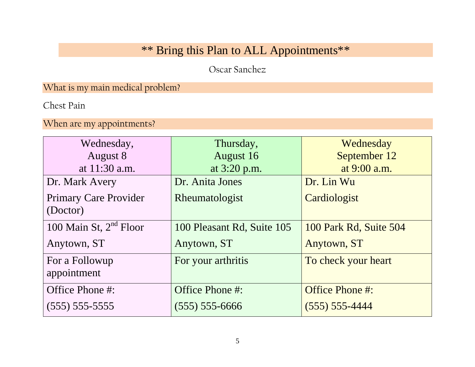### \*\* Bring this Plan to ALL Appointments\*\*

Oscar Sanchez

What is my main medical problem?

Chest Pain

When are my appointments?

| Wednesday,                   | Thursday,                  | Wednesday              |
|------------------------------|----------------------------|------------------------|
| August 8                     | August 16                  | September 12           |
| at 11:30 a.m.                | at 3:20 p.m.               | at 9:00 a.m.           |
| Dr. Mark Avery               | Dr. Anita Jones            | Dr. Lin Wu             |
| <b>Primary Care Provider</b> | Rheumatologist             | Cardiologist           |
| (Doctor)                     |                            |                        |
| 100 Main St, $2nd$ Floor     | 100 Pleasant Rd, Suite 105 | 100 Park Rd, Suite 504 |
| Anytown, ST                  | Anytown, ST                | Anytown, ST            |
| For a Followup               | For your arthritis         | To check your heart    |
| appointment                  |                            |                        |
| Office Phone #:              | Office Phone #:            | Office Phone #:        |
| $(555) 555-5555$             | $(555) 555-6666$           | $(555) 555 - 4444$     |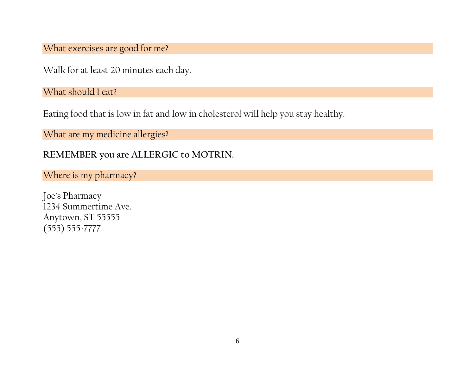What exercises are good for me?

Walk for at least 20 minutes each day.

What should I eat?

Eating food that is low in fat and low in cholesterol will help you stay healthy.

What are my medicine allergies?

**REMEMBER you are ALLERGIC to MOTRIN.** 

Where is my pharmacy?

Joe's Pharmacy 1234 Summertime Ave. Anytown, ST 55555 (555) 555-7777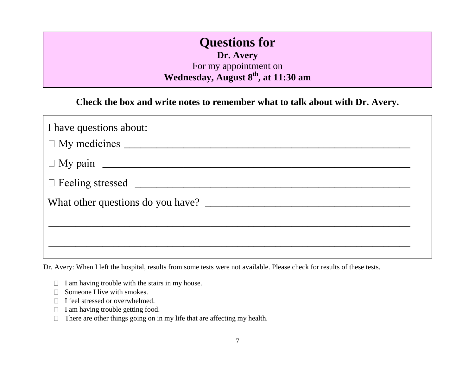#### **Questions for**

**Dr. Avery**

For my appointment on **Wednesday, August 8th, at 11:30 am**

**Check the box and write notes to remember what to talk about with Dr. Avery.** 

| I have questions about: |
|-------------------------|
|                         |
|                         |
|                         |
|                         |
|                         |
|                         |
|                         |

Dr. Avery: When I left the hospital, results from some tests were not available. Please check for results of these tests.

- $\Box$  I am having trouble with the stairs in my house.
- Someone I live with smokes. П
- □ I feel stressed or overwhelmed.
- I am having trouble getting food.  $\Box$
- There are other things going on in my life that are affecting my health.  $\Box$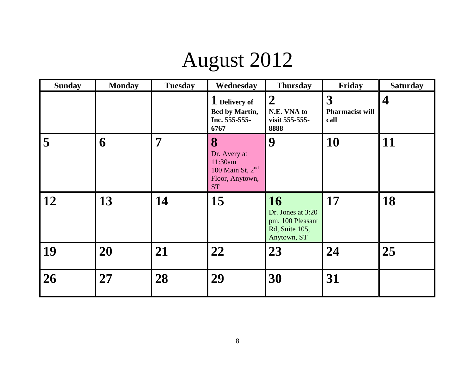## August 2012

| <b>Sunday</b> | <b>Monday</b> | <b>Tuesday</b> | Wednesday                                                                            | <b>Thursday</b>                                                                     | Friday                              | <b>Saturday</b>         |
|---------------|---------------|----------------|--------------------------------------------------------------------------------------|-------------------------------------------------------------------------------------|-------------------------------------|-------------------------|
|               |               |                | 1 Delivery of<br>Bed by Martin,<br>Inc. 555-555-<br>6767                             | $\boldsymbol{2}$<br>N.E. VNA to<br>visit 555-555-<br>8888                           | 3<br><b>Pharmacist will</b><br>call | $\overline{\mathbf{4}}$ |
| 5             | 6             | 7              | 8<br>Dr. Avery at<br>11:30am<br>$100$ Main St, $2nd$<br>Floor, Anytown,<br><b>ST</b> | 9                                                                                   | 10                                  | 11                      |
| 12            | 13            | 14             | 15                                                                                   | <b>16</b><br>Dr. Jones at 3:20<br>pm, 100 Pleasant<br>Rd, Suite 105,<br>Anytown, ST | 17                                  | 18                      |
| 19            | 20            | 21             | 22                                                                                   | 23                                                                                  | 24                                  | 25                      |
| 26            | 27            | 28             | 29                                                                                   | 30                                                                                  | 31                                  |                         |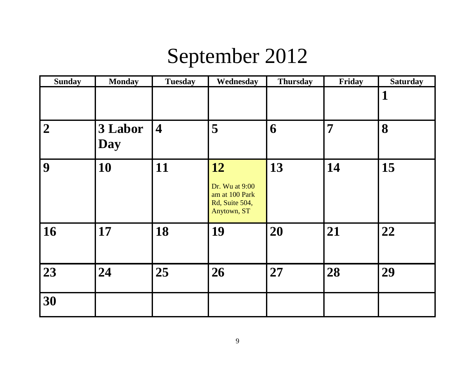### September 2012

| <b>Sunday</b>  | <b>Monday</b>  | <b>Tuesday</b>          | Wednesday                                                               | <b>Thursday</b> | Friday | <b>Saturday</b> |
|----------------|----------------|-------------------------|-------------------------------------------------------------------------|-----------------|--------|-----------------|
|                |                |                         |                                                                         |                 |        |                 |
| $\overline{2}$ | 3 Labor<br>Day | $\overline{\mathbf{4}}$ | 5                                                                       | 6               | 7      | 8               |
| 9              | 10             | 11                      | 12<br>Dr. Wu at 9:00<br>am at 100 Park<br>Rd, Suite 504,<br>Anytown, ST | 13              | 14     | 15              |
| 16             | 17             | 18                      | 19                                                                      | 20              | 21     | 22              |
| 23             | 24             | 25                      | 26                                                                      | 27              | 28     | 29              |
| 30             |                |                         |                                                                         |                 |        |                 |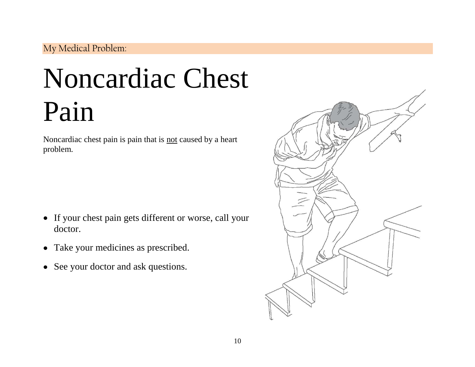#### My Medical Problem:

## Noncardiac Chest Pain

Noncardiac chest pain is pain that is not caused by a heart problem.

- If your chest pain gets different or worse, call your doctor.
- Take your medicines as prescribed.
- See your doctor and ask questions.